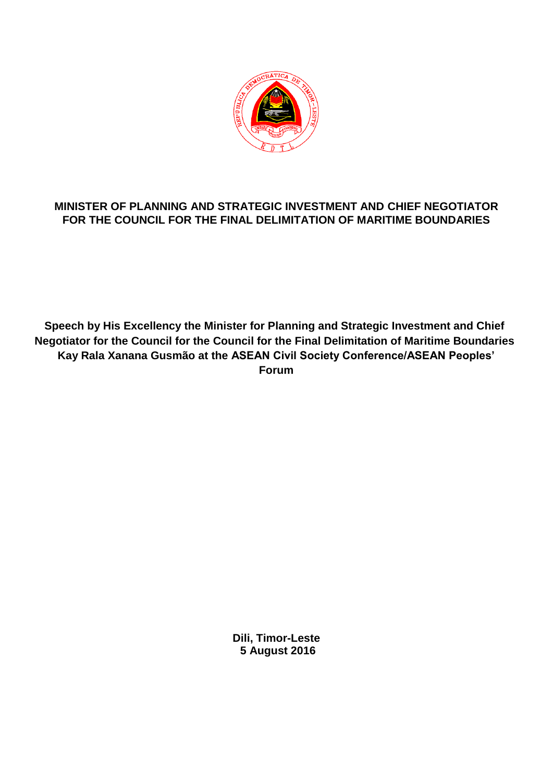

## **MINISTER OF PLANNING AND STRATEGIC INVESTMENT AND CHIEF NEGOTIATOR FOR THE COUNCIL FOR THE FINAL DELIMITATION OF MARITIME BOUNDARIES**

**Speech by His Excellency the Minister for Planning and Strategic Investment and Chief Negotiator for the Council for the Council for the Final Delimitation of Maritime Boundaries Kay Rala Xanana Gusmão at the ASEAN Civil Society Conference/ASEAN Peoples' Forum**

> **Dili, Timor-Leste 5 August 2016**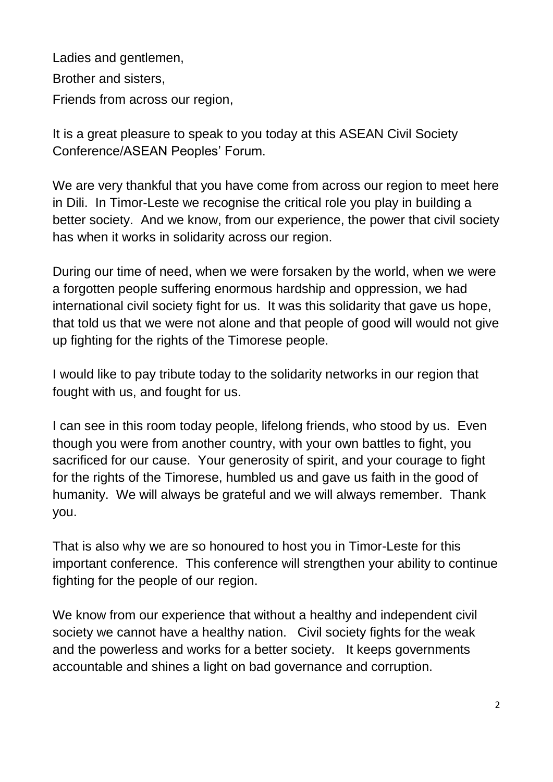Ladies and gentlemen, Brother and sisters, Friends from across our region,

It is a great pleasure to speak to you today at this ASEAN Civil Society Conference/ASEAN Peoples' Forum.

We are very thankful that you have come from across our region to meet here in Dili. In Timor-Leste we recognise the critical role you play in building a better society. And we know, from our experience, the power that civil society has when it works in solidarity across our region.

During our time of need, when we were forsaken by the world, when we were a forgotten people suffering enormous hardship and oppression, we had international civil society fight for us. It was this solidarity that gave us hope, that told us that we were not alone and that people of good will would not give up fighting for the rights of the Timorese people.

I would like to pay tribute today to the solidarity networks in our region that fought with us, and fought for us.

I can see in this room today people, lifelong friends, who stood by us. Even though you were from another country, with your own battles to fight, you sacrificed for our cause. Your generosity of spirit, and your courage to fight for the rights of the Timorese, humbled us and gave us faith in the good of humanity. We will always be grateful and we will always remember. Thank you.

That is also why we are so honoured to host you in Timor-Leste for this important conference. This conference will strengthen your ability to continue fighting for the people of our region.

We know from our experience that without a healthy and independent civil society we cannot have a healthy nation. Civil society fights for the weak and the powerless and works for a better society. It keeps governments accountable and shines a light on bad governance and corruption.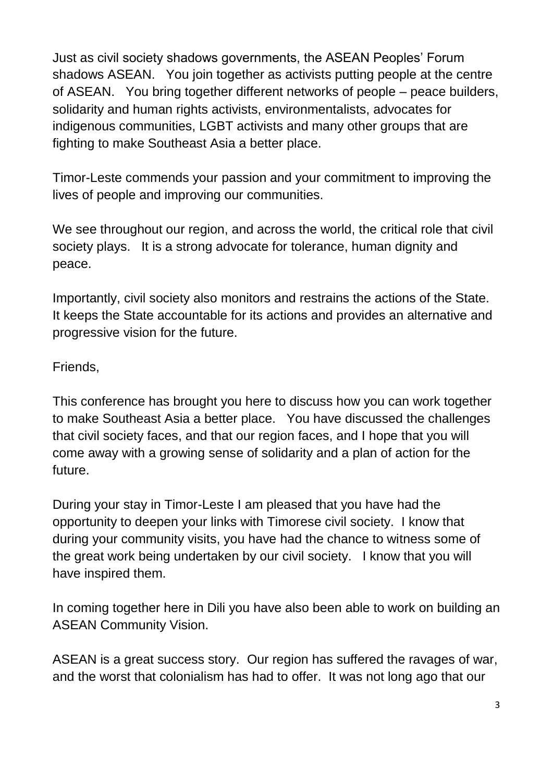Just as civil society shadows governments, the ASEAN Peoples' Forum shadows ASEAN. You join together as activists putting people at the centre of ASEAN. You bring together different networks of people – peace builders, solidarity and human rights activists, environmentalists, advocates for indigenous communities, LGBT activists and many other groups that are fighting to make Southeast Asia a better place.

Timor-Leste commends your passion and your commitment to improving the lives of people and improving our communities.

We see throughout our region, and across the world, the critical role that civil society plays. It is a strong advocate for tolerance, human dignity and peace.

Importantly, civil society also monitors and restrains the actions of the State. It keeps the State accountable for its actions and provides an alternative and progressive vision for the future.

## Friends,

This conference has brought you here to discuss how you can work together to make Southeast Asia a better place. You have discussed the challenges that civil society faces, and that our region faces, and I hope that you will come away with a growing sense of solidarity and a plan of action for the future.

During your stay in Timor-Leste I am pleased that you have had the opportunity to deepen your links with Timorese civil society. I know that during your community visits, you have had the chance to witness some of the great work being undertaken by our civil society. I know that you will have inspired them.

In coming together here in Dili you have also been able to work on building an ASEAN Community Vision.

ASEAN is a great success story. Our region has suffered the ravages of war, and the worst that colonialism has had to offer. It was not long ago that our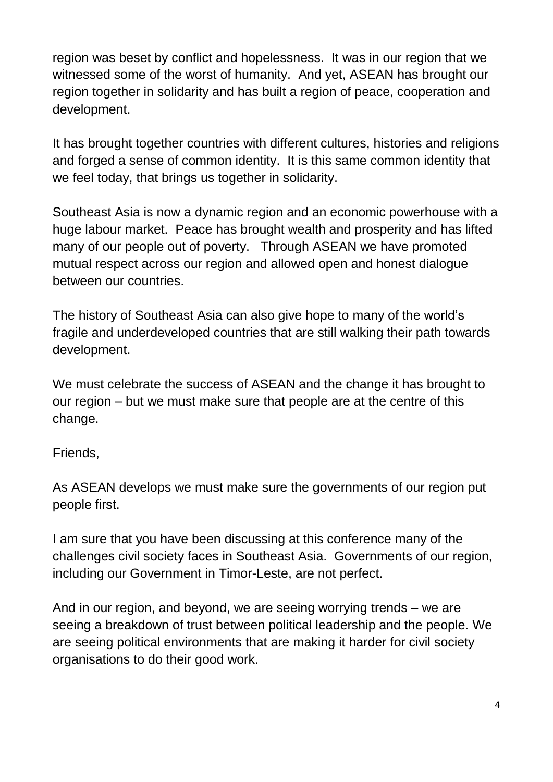region was beset by conflict and hopelessness. It was in our region that we witnessed some of the worst of humanity. And yet, ASEAN has brought our region together in solidarity and has built a region of peace, cooperation and development.

It has brought together countries with different cultures, histories and religions and forged a sense of common identity. It is this same common identity that we feel today, that brings us together in solidarity.

Southeast Asia is now a dynamic region and an economic powerhouse with a huge labour market. Peace has brought wealth and prosperity and has lifted many of our people out of poverty. Through ASEAN we have promoted mutual respect across our region and allowed open and honest dialogue between our countries.

The history of Southeast Asia can also give hope to many of the world's fragile and underdeveloped countries that are still walking their path towards development.

We must celebrate the success of ASEAN and the change it has brought to our region – but we must make sure that people are at the centre of this change.

## Friends,

As ASEAN develops we must make sure the governments of our region put people first.

I am sure that you have been discussing at this conference many of the challenges civil society faces in Southeast Asia. Governments of our region, including our Government in Timor-Leste, are not perfect.

And in our region, and beyond, we are seeing worrying trends – we are seeing a breakdown of trust between political leadership and the people. We are seeing political environments that are making it harder for civil society organisations to do their good work.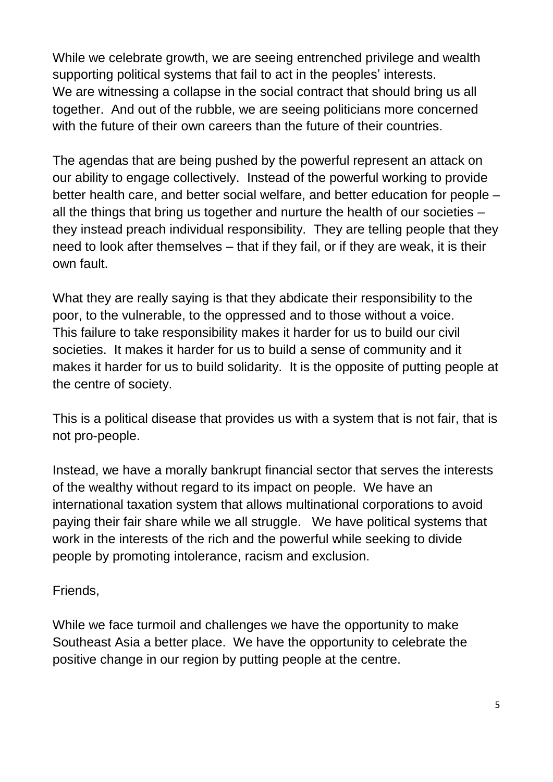While we celebrate growth, we are seeing entrenched privilege and wealth supporting political systems that fail to act in the peoples' interests. We are witnessing a collapse in the social contract that should bring us all together. And out of the rubble, we are seeing politicians more concerned with the future of their own careers than the future of their countries.

The agendas that are being pushed by the powerful represent an attack on our ability to engage collectively. Instead of the powerful working to provide better health care, and better social welfare, and better education for people – all the things that bring us together and nurture the health of our societies – they instead preach individual responsibility. They are telling people that they need to look after themselves – that if they fail, or if they are weak, it is their own fault.

What they are really saying is that they abdicate their responsibility to the poor, to the vulnerable, to the oppressed and to those without a voice. This failure to take responsibility makes it harder for us to build our civil societies. It makes it harder for us to build a sense of community and it makes it harder for us to build solidarity. It is the opposite of putting people at the centre of society.

This is a political disease that provides us with a system that is not fair, that is not pro-people.

Instead, we have a morally bankrupt financial sector that serves the interests of the wealthy without regard to its impact on people. We have an international taxation system that allows multinational corporations to avoid paying their fair share while we all struggle. We have political systems that work in the interests of the rich and the powerful while seeking to divide people by promoting intolerance, racism and exclusion.

Friends,

While we face turmoil and challenges we have the opportunity to make Southeast Asia a better place. We have the opportunity to celebrate the positive change in our region by putting people at the centre.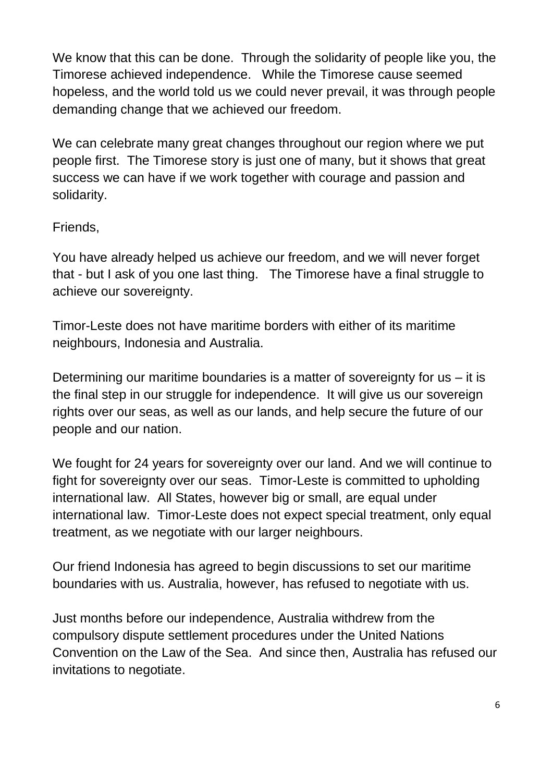We know that this can be done. Through the solidarity of people like you, the Timorese achieved independence. While the Timorese cause seemed hopeless, and the world told us we could never prevail, it was through people demanding change that we achieved our freedom.

We can celebrate many great changes throughout our region where we put people first. The Timorese story is just one of many, but it shows that great success we can have if we work together with courage and passion and solidarity.

## Friends,

You have already helped us achieve our freedom, and we will never forget that - but I ask of you one last thing. The Timorese have a final struggle to achieve our sovereignty.

Timor-Leste does not have maritime borders with either of its maritime neighbours, Indonesia and Australia.

Determining our maritime boundaries is a matter of sovereignty for us – it is the final step in our struggle for independence. It will give us our sovereign rights over our seas, as well as our lands, and help secure the future of our people and our nation.

We fought for 24 years for sovereignty over our land. And we will continue to fight for sovereignty over our seas. Timor-Leste is committed to upholding international law. All States, however big or small, are equal under international law. Timor-Leste does not expect special treatment, only equal treatment, as we negotiate with our larger neighbours.

Our friend Indonesia has agreed to begin discussions to set our maritime boundaries with us. Australia, however, has refused to negotiate with us.

Just months before our independence, Australia withdrew from the compulsory dispute settlement procedures under the United Nations Convention on the Law of the Sea. And since then, Australia has refused our invitations to negotiate.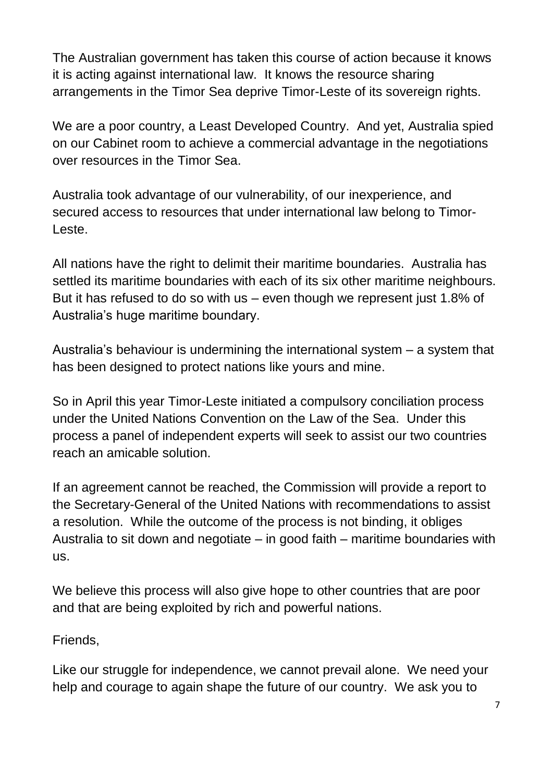The Australian government has taken this course of action because it knows it is acting against international law. It knows the resource sharing arrangements in the Timor Sea deprive Timor-Leste of its sovereign rights.

We are a poor country, a Least Developed Country. And yet, Australia spied on our Cabinet room to achieve a commercial advantage in the negotiations over resources in the Timor Sea.

Australia took advantage of our vulnerability, of our inexperience, and secured access to resources that under international law belong to Timor-Leste.

All nations have the right to delimit their maritime boundaries. Australia has settled its maritime boundaries with each of its six other maritime neighbours. But it has refused to do so with us – even though we represent just 1.8% of Australia's huge maritime boundary.

Australia's behaviour is undermining the international system – a system that has been designed to protect nations like yours and mine.

So in April this year Timor-Leste initiated a compulsory conciliation process under the United Nations Convention on the Law of the Sea. Under this process a panel of independent experts will seek to assist our two countries reach an amicable solution.

If an agreement cannot be reached, the Commission will provide a report to the Secretary-General of the United Nations with recommendations to assist a resolution. While the outcome of the process is not binding, it obliges Australia to sit down and negotiate – in good faith – maritime boundaries with us.

We believe this process will also give hope to other countries that are poor and that are being exploited by rich and powerful nations.

Friends,

Like our struggle for independence, we cannot prevail alone. We need your help and courage to again shape the future of our country. We ask you to